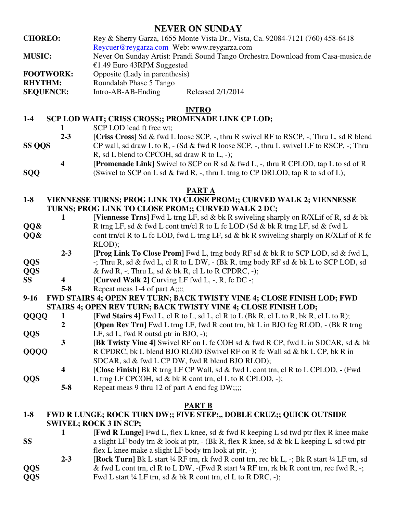# **NEVER ON SUNDAY**

- **CHOREO:** Rey & Sherry Garza, 1655 Monte Vista Dr., Vista, Ca. 92084-7121 (760) 458-6418
	- Reycuer@reygarza.com Web: www.reygarza.com
- **MUSIC:** Never On Sunday Artist: Prandi Sound Tango Orchestra Download from Casa-musica.de €1.49 Euro 43RPM Suggested
- **FOOTWORK:** Opposite (Lady in parenthesis)

**RHYTHM:** Roundalab Phase 5 Tango

**SEQUENCE:** Intro-AB-AB-Ending Released 2/1/2014

## **INTRO**

## **1-4 SCP LOD WAIT; CRISS CROSS;; PROMENADE LINK CP LOD;**

- **1 SCP LOD** lead ft free wt;<br>**2-3 ICriss Cross** Sd & fwd L
- **[Criss Cross]** Sd & fwd L loose SCP, -, thru R swivel RF to RSCP, -; Thru L, sd R blend
- **SS QQS** CP wall, sd draw L to R, (Sd & fwd R loose SCP, -, thru L swivel LF to RSCP, -; Thru R, sd L blend to CPCOH, sd draw R to L, -);
- **4 [Promenade Link**] Swivel to SCP on R sd & fwd L, -, thru R CPLOD, tap L to sd of R
- **SQQ** (Swivel to SCP on L sd & fwd R, -, thru L trng to CP DRLOD, tap R to sd of L);

#### **PART A**

- **1-8 VIENNESSE TURNS; PROG LINK TO CLOSE PROM;; CURVED WALK 2; VIENNESSE TURNS; PROG LINK TO CLOSE PROM;; CURVED WALK 2 DC;**
- **1 [Viennesse Trns]** Fwd L trng LF, sd & bk R swiveling sharply on R/XLif of R, sd & bk **QQ&** R trng LF, sd & fwd L cont trn/cl R to L fc LOD (Sd & bk R trng LF, sd & fwd L **QQ&** cont trn/cl R to L fc LOD, fwd L trng LF, sd & bk R swiveling sharply on R/XLif of R fc
	- RLOD);
- **2-3 [Prog Link To Close Prom]** Fwd L, trng body RF sd & bk R to SCP LOD, sd & fwd L, **QQS** -; Thru R, sd & fwd L, cl R to L DW, - (Bk R, trng body RF sd & bk L to SCP LOD, sd **QQS** & fwd R, -; Thru L, sd & bk R, cl L to R CPDRC, -);
- **SS** 4 **[Curved Walk 2]**  $\text{Curving LF } \text{fwd } L$ , -, R, fc DC -;
- - **5-8** Repeat meas 1-4 of part A;;;;

**9-16 FWD STAIRS 4; OPEN REV TURN; BACK TWISTY VINE 4; CLOSE FINISH LOD; FWD STAIRS 4; OPEN REV TURN; BACK TWISTY VINE 4; CLOSE FINISH LOD;** 

- **QQQQ** 1 [Fwd Stairs 4] Fwd L, cl R to L, sd L, cl R to L (Bk R, cl L to R, bk R, cl L to R);
- **2 [Open Rev Trn**] Fwd L trng LF, fwd R cont trn, bk L in BJO fcg RLOD, (Bk R trng **QQS** LF, sd L, fwd R outsd ptr in BJO, -);
- **3 [Bk Twisty Vine 4]** Swivel RF on L fc COH sd & fwd R CP, fwd L in SDCAR, sd & bk **QQQQ** R CPDRC, bk L blend BJO RLOD **(**Swivel RF on R fc Wall sd & bk L CP, bk R in
- SDCAR, sd & fwd L CP DW, fwd R blend BJO RLOD);
- **4 [Close Finish]** Bk R trng LF CP Wall, sd & fwd L cont trn, cl R to L CPLOD,(Fwd **QQS** L trng LF CPCOH, sd & bk R cont trn, cl L to R CPLOD, -);
	- **5-8** Repeat meas 9 thru 12 of part A end fcg DW;;;;

#### **PART B**

#### **1-8 FWD R LUNGE; ROCK TURN DW;; FIVE STEP;,, DOBLE CRUZ;; QUICK OUTSIDE SWIVEL; ROCK 3 IN SCP;**

- **1 [Fwd R Lunge]** Fwd L, flex L knee, sd & fwd R keeping L sd twd ptr flex R knee make **SS** a slight LF body trn & look at ptr, - (Bk R, flex R knee, sd & bk L keeping L sd twd ptr flex L knee make a slight LF body trn look at ptr, -);
- **2-3 [Rock Turn]** Bk L start ¼ RF trn, rk fwd R cont trn, rec bk L, -; Bk R start ¼ LF trn, sd **QQS** & fwd L cont trn, cl R to L DW, -(Fwd R start <sup>1/4</sup> RF trn, rk bk R cont trn, rec fwd R, -; **QQS** Fwd L start ¼ LF trn, sd & bk R cont trn, cl L to R DRC, -);